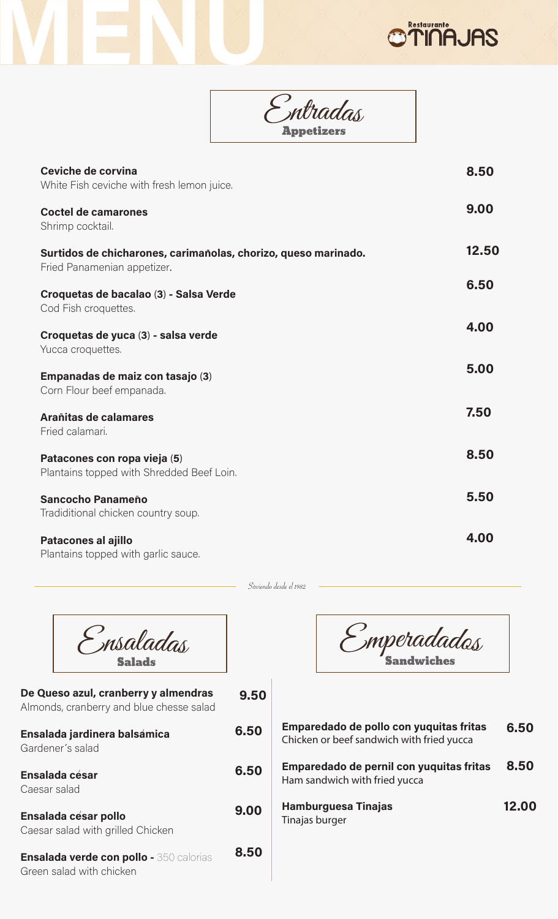|                                                                                               | ntradas<br>Appetizers |       |
|-----------------------------------------------------------------------------------------------|-----------------------|-------|
| Ceviche de corvina<br>White Fish ceviche with fresh lemon juice.                              |                       | 8.50  |
| <b>Coctel de camarones</b><br>Shrimp cocktail.                                                |                       | 9.00  |
| Surtidos de chicharones, carimañolas, chorizo, queso marinado.<br>Fried Panamenian appetizer. |                       | 12.50 |
| Croquetas de bacalao (3) - Salsa Verde<br>Cod Fish croquettes.                                |                       | 6.50  |
| Croquetas de yuca (3) - salsa verde<br>Yucca croquettes.                                      |                       | 4.00  |
| Empanadas de maiz con tasajo (3)<br>Corn Flour beef empanada.                                 |                       | 5.00  |
| Arañitas de calamares<br>Fried calamari.                                                      |                       | 7.50  |
| Patacones con ropa vieja (5)<br>Plantains topped with Shredded Beef Loin.                     |                       | 8.50  |
| <b>Sancocho Panameño</b><br>Tradiditional chicken country soup.                               |                       | 5.50  |
| <b>Patacones al ajillo</b><br>Plantains topped with garlic sauce.                             |                       | 4.00  |

Sirviendo desde el 1982

| nsaladas<br><b>Salads</b>                                                        |      |
|----------------------------------------------------------------------------------|------|
| De Queso azul, cranberry y almendras<br>Almonds, cranberry and blue chesse salad | 9.50 |
| Ensalada jardinera balsámica<br>Gardener's salad                                 | 6.50 |
| Ensalada césar<br>Caesar salad                                                   | 6.50 |
| <b>Ensalada césar pollo</b><br>Caesar salad with grilled Chicken                 | 9.00 |
| <b>Ensalada verde con pollo -</b> 350 calorias<br>Green salad with chicken       | 8.50 |

Г

WEND

Smperadados

**OTINAJAS** 

| Emparedado de pollo con yuquitas fritas<br>Chicken or beef sandwich with fried yucca | 6.50  |
|--------------------------------------------------------------------------------------|-------|
| Emparedado de pernil con yuquitas fritas<br>Ham sandwich with fried yucca            | 8.50  |
| <b>Hamburguesa Tinajas</b><br>Tinajas burger                                         | 12.00 |